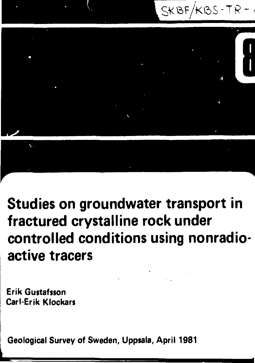



**Studies on groundwater transport in fractured crystalline rock under controlled conditions using nonradio active tracers**

**Erik Gustafsson Carl-Erik Klockars**

**Geological Survey of Sweden, Uppsala, April 1981**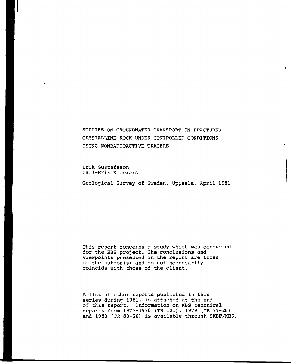STUDIES ON GROUNDWATER TRANSPORT IN FRACTURED CRYSTALLINE ROCK UNDER CONTROLLED CONDITIONS USING NONRADIOACTIVE TRACERS

Erik Gustafsson Carl-Erik Klockars

Geological Survey of Sweden, Uppsala, April 1981

This report concerns a study which was conducted for the KBS project. The conclusions and viewpoints presented in the report are those of the author(s) and do not necessarily coincide with those of the client.

A list of other reports published in this series during 1981, is attached at the end of this report. Information on KBS technical reports from 1977-1978 (TR 121), 1979 (TR 79-28) and 1980 (TR 80-26) is available through SKBF/KBS,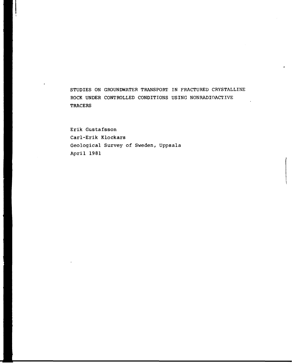STUDIES ON GROUNDWATER TRANSPORT IN FRACTURED CRYSTALLINE ROCK UNDER CONTROLLED CONDITIONS USING NONRADIOACTIVE **TRACERS** 

Erik Gustafsson Carl-Erik Klockars Geological Survey of Sweden, Uppsala April 1981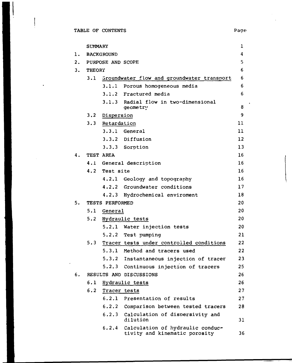$\ddot{\phantom{a}}$ 

|    | <b>SUMMARY</b> |                   |                                                                   | 1  |
|----|----------------|-------------------|-------------------------------------------------------------------|----|
| 1. |                | <b>BACKGROUND</b> |                                                                   | 4  |
| 2. |                | PURPOSE AND SCOPE |                                                                   | 5  |
| 3. | <b>THEORY</b>  |                   |                                                                   | 6  |
|    |                |                   | 3.1 Groundwater flow and groundwater transport                    | 6  |
|    |                |                   | 3.1.1 Porous homogeneous media                                    | 6  |
|    |                |                   | 3.1.2 Fractured media                                             | 6  |
|    |                |                   | 3.1.3 Radial flow in two-dimensional<br>geometry                  | 8  |
|    |                | 3.2 Dispersion    |                                                                   | 9  |
|    |                | 3.3 Retardation   |                                                                   | 11 |
|    |                |                   | 3.3.1 General                                                     | 11 |
|    |                |                   | 3.3.2 Diffusion                                                   | 12 |
|    |                |                   | 3.3.3 Sorption                                                    | 13 |
| 4. |                | TEST AREA         |                                                                   | 16 |
|    |                |                   | 4.1 General description                                           | 16 |
|    |                | 4.2 Test site     |                                                                   | 16 |
|    |                |                   | 4.2.1 Geology and topography                                      | 16 |
|    |                |                   | 4.2.2 Groundwater conditions                                      | 17 |
|    |                |                   | 4.2.3 Hydrochemical enviroment                                    | 18 |
| 5. |                | TESTS PERFORMED   |                                                                   | 20 |
|    | 5.1            | General           |                                                                   | 20 |
|    |                |                   | 5.2 Hydraulic tests                                               | 20 |
|    |                |                   | 5.2.1 Water injection tests                                       | 20 |
|    |                |                   | 5.2.2 Test pumping                                                | 21 |
|    | 5.3            |                   | Tracer tests under controiled conditions                          | 22 |
|    |                | 5.3.1             | Method and tracers used                                           | 22 |
|    |                | 5.3.2             | Instantaneous injection of tracer                                 | 23 |
|    |                | 5.2.3             | Continuous injection of tracers                                   | 25 |
| 6. |                |                   | RESULTS AND DISCUSSIONS                                           | 26 |
|    | 6.1            |                   | Hydraulic tests                                                   | 26 |
|    | 6.2            | Tracer tests      |                                                                   | 27 |
|    |                |                   | 6.2.1 Presentation of results                                     | 27 |
|    |                |                   | 6.2.2 Comparison between tested tracers                           | 28 |
|    |                | 6.2.3             | Calculation of dispersivity and<br>dilution                       | 31 |
|    |                | 6.2.4             | Calculation of hydraulic conduc-<br>tivity and kinematic porosity | 36 |

 $\ddot{\phantom{0}}$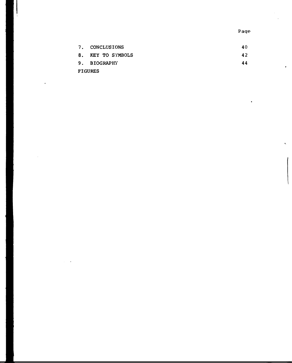Pag e

.

 $\cdot$ 

 $\hat{\mathbf{k}}$ 

|    | 7. CONCLUSIONS | 40. |
|----|----------------|-----|
| 8. | KEY TO SYMBOLS | 42  |
|    | 9. BIOGRAPHY   | 44  |
|    | <b>FIGURES</b> |     |

ļ

 $\cdot$ 

 $\bar{z}$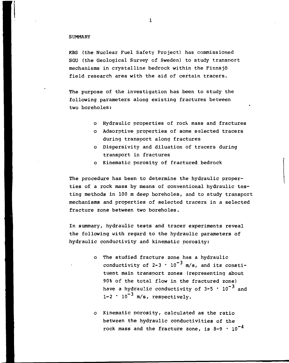### **SUMMARY**

KBS (the Nuclear Fuel Safety Project) has commissioned SGU (the Geological Survey cf Sweden) to study transport mechanisms in crystalline bedrock within the Finnsjö field research area with the aid of certain tracers.

The purpose of the investigation has been to study the following parameters along existing fractures between two boreholes:

- o Hydraulic properties of rock mass and fractures
- o Adsorptive properties of some selected tracers during transport along fractures
- o Dispersivity and diluation of tracers during transport in fractures
- o Kinematic porosity of fractured bedrock

The procedure has been to determine the hydraulic properties of a rock mass by means of conventional hydraulic testing methods in 100 m deep boreholes, and to study transport mechanisms and properties of selected tracers in a selected fracture zone between two boreholes.

In summary, hydraulic tests and tracer experiments reveal the following with regard to the hydraulic parameters of hydraulic conductivity and kinematic porosity:

- The studied fracture zone has a hydraulic conductivity of 2-3  $\cdot$  10<sup>-3</sup> m/s, and its constituent main transport zones (representing about 90% of the total flow in the fractured zone) have a hydraulic conductivity of 3–5  $\cdot$  10<sup>-3</sup> and  $1-2 \cdot 10^{-3}$  m/s, respectively.
- Kinematic porosity, calculated as the ratio between the hydraulic conductivities of the rock mass and the fracture zone, is 8-9  $\cdot$  10 $^{-4}$

 $\mathbf{1}$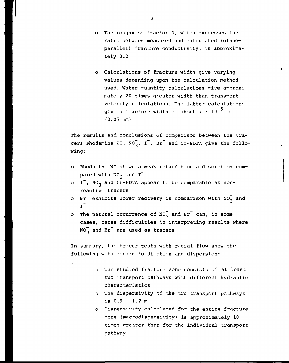- o The roughness fractor  $\beta$ , which expresses the ratio between measured and calculated (planeparallel) fracture conductivity, is approximately 0.2
- Calculations of fracture width give varying values depending upon the calculation method used. Water quantity calculations give approxi mately 20 times greater width than transport velocity calculations. The latter calculations give a fracture width of about  $7 \cdot 10^{-5}$  m (0.07 mm)

The results and conclusions of comparison between the tracers Rhodamine WT,  $NO_3^7$ , I<sup>-</sup>, Br<sup>-</sup> and Cr-EDTA give the following:

- o Rhodamine WT shows a weak retardation and sorotion compared with  $NO_3^-$  and  $I^-$
- o  $I^{\dagger}$ , NO<sub>3</sub> and Cr-EDTA appear to be comparable as nonreactive tracers
- o Br<sup>-</sup> exhibits lower recovery in comparison with  $NO_2^-$  and  $I^-$
- o The natural occurrence of  $NO_3^-$  and Br<sup>-</sup> can, in some cases, cause difficulties in interpreting results where  $NO_3^-$  and Br<sup> $-$ </sup> are used as tracers

In summary, the tracer tests with radial flow show the following with regard to dilution and dispersion:

- The studied fracture zone consists of at least two transport pathways with different hydraulic characteristics
- The dispersivity of the two transport pathways is  $0.9 - 1.2$  m
- Dispersivity calculated for the entire fracture zone (macrodispersivity) is approximately 10 times greater than for the individual transport pathway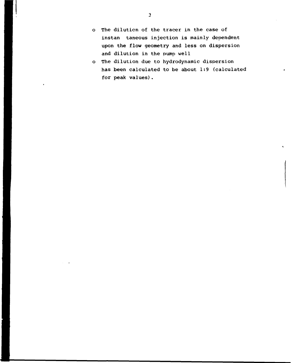- o The dilution of the tracer in the case of instan taneous injection is mainly dependent upon the flow geometry and less on dispersion and dilution in the pump well
- o The dilution due to hydrodynamic dispersion has been calculated to be about 1:9 (calculated for peak values).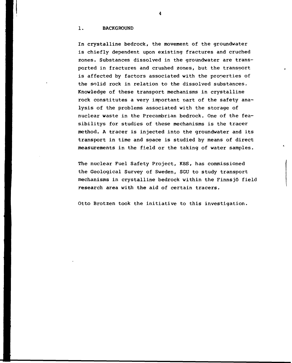### 1. BACKGROUND

In crystalline bedrock, the movement of the groundwater is chiefly dependent upon existing fractures and cruched zones. Substances dissolved in the groundwater are transported in fractures and crushed zones, but the transport is affected by factors associated with the properties of the solid rock in relation to the dissolved substances. Knowledge of these transport mechanisms in crystalline rock constitutes a very important part of the safety analysis of the problems associated with the storage of nuclear waste in the Precambrian bedrock. One of the feasibilitys for studies of these mechanisms is the tracer method. A tracer is injected into the groundwater and its transport in time and space is studied by means of direct measurements in the field or the taking of water samples.

The nuclear Fuel Safety Project, KBS, has commissioned the Geological Survey of Sweden, SGU to study transport mechanisms in crystalline bedrock within the Finnsjö field research area with the aid of certain tracers.

Otto Brotzen took the initiative to this investigation.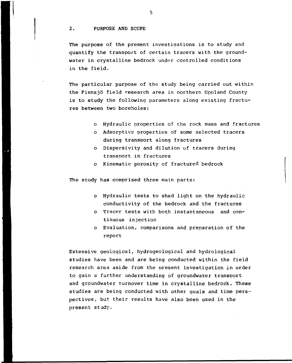### 2. PURPOSE AND SCOPE

The purpose of the present investigations is to study and quantify the transport of certain tracers with the groundwater in crystalline bedrock under controlled conditions in the field.

The particular purpose of the study being carried out within the Finnsjö field research area in northern Uppland County is to study the following parameters along existing fractures between two boreholes:

- o Hydraulic properties of the rock mass and fractures
- o Adsorptivs properties of some selected tracers during transport along fractures
- o Dispersivity and dilution of tracers during transport in fractures
- o Kinematic porosity of fractured bedrock

The study has comprised three main parts:

- o Hydraulic tests to shed light on the hydraulic conductivity of the bedrock and the fractures
- o Tracer tests with both instantaneous and continuous injection
- o Evaluation, comparisons and preparation of the report

Extensive geological, hydrogeological and hydrological studies have been and are being conducted within the field research area aside from the present investigation in order to gain a further understanding of groundwater transport and groundwater turnover time in crystalline bedrock. These studies are being conducted with other goals and time perspectives, but their results have also been used in the present study.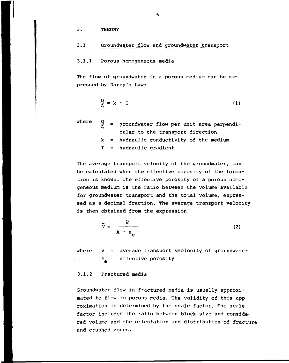3. THEORY

### 3.1 Groundwater flow and groundwater transport

### 3.1.1 Porous homogeneous media

The flow of groundwater in a porous medium can be expressed by Darcy's Law:

$$
\frac{Q}{A} = k \cdot I \tag{1}
$$

where

- $\frac{Q}{A}$  = groundwater flow per unit area perpendik hydraulic conductivity of the medium cular to the transport direction
	- I hydraulic gradient

The average transport velocity of the groundwater, can be calculated when the effective porosity of the formation is known. The effective porosity of a porous homogeneous medium is the ratio between the volume available for groundwater transport and the total volume, expressed as a decimal fraction. The average transport velocity is then obtained from the expression

$$
\bar{v} = \frac{Q}{A + \theta_{\rm e}}
$$
 (2)

where  $\bar{v}$  = average transport veolocity of groundwater  $\theta_{\mathbf{e}}$  = effective porosity

### 3.1.2 Fractured media

Groundwater flow in fractured media is usually approximated to flow in porous media. The validity of this approximation is determined by the scale factor. The scale factor includes the ratio between block size and considered volume and the orientation and distribution of fracture and crushed zones.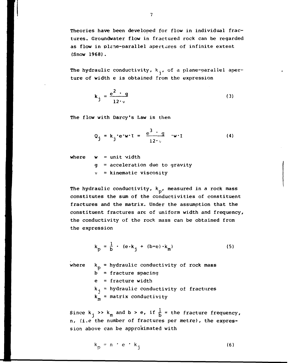Theories have been developed for flow in individual fractures. Groundwater flow in fractured rock can be regarded as flow in plene-parallel apertures of infinite extent (Snow 1968).

The hydraulic conductivity,  $k_{\hat{i}}$ , of a plane-parallel aperture of width e is obtained from the expression

$$
k_j = \frac{e^2 \cdot g}{12 \cdot v} \tag{3}
$$

The flow with Darcy's Law is then

$$
Q_j = k_j e^w t = \frac{e^3 - g}{12w} w t
$$
 (4)

where  $w = unit width$ 

- g = acceleration due to gravity
- $v =$  kinematic viscosity

The hydraulic conductivity,  $k_{n}$ , measured in a rock mass constitutes the sum of the conductivities of constituent fractures and the matrix. Under the assumption that the constituent fractures are of uniform width and frequency, the conductivity of the rock mass can be obtained from the expression

$$
k_p = \frac{1}{b} \cdot (e \cdot k_j + (b - e) \cdot k_m)
$$
 (5)

where  $k_p =$  hydraulic conductivity of rock mass  $b =$  fracture spacing  $e =$  fracture width  $k<sub>j</sub>$  = hydraulic conductivity of fractures  $k_m$  = matrix conductivity

Since  $k_i \gg k_m$  and  $b > e$ , if  $\frac{1}{b}$  = the fracture frequency, n, (i.e the number of fractures per metre), the expression above can be approximated with

$$
k_p = n \cdot e \cdot k_j \tag{6}
$$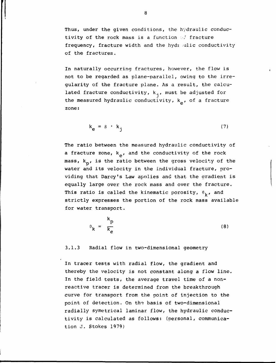Thus, under the given conditions, the hydraulic conductivity of the rock mass is a function  $\mathbb{S}^*$  fracture frequency, fracture width and the hydisulic conductivity of the fractures.

In naturally occurring fractures, however, the flow is not to be regarded as plane-parallel, owing to the irregularity of the fracture plane. As a result, the calculated fracture conductivity,  $k_{i}$ , must be adjusted for the measured hydraulic conductivity,  $k_a$ , of a fracture zone:

$$
k_{e} = \beta \cdot k_{j} \tag{7}
$$

The ratio between the measured hydraulic conductivity of a fracture zone,  $k_{\alpha}$ , and the conductivity of the rock mass,  $k_p$ , is the ratio between the gross velocity of the water and its velocity in the individual fracture, providing that Darcy's Law apnlies and that the gradient is equally large over the rock mass and over the fracture. This ratio is called the kinematic porosity,  $\theta_k$ , and strictly expresses the portion of the rock mass available for water transport.

$$
\theta_{k} = \frac{k_{p}}{k_{e}}
$$
 (8)

3.1.3 Radial flow in two-dimensional geometry

In tracer tests with radial flow, the gradient and thereby the velocity is not constant along a flow line. In the field tests, the average travel time of a nonreactive tracer is determined from the breakthrough curve for transport from the point of injection to the point of detection. On the basis of two-dimensional radially symetrical laminar flow, the hydraulic conductivity is calculated as follows: (personal, communication J. Stokes 1979)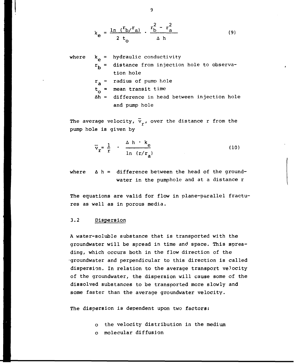$$
k_{e} = \frac{\ln (r_{b}/r_{a})}{2 t_{o}} \cdot \frac{r_{b}^{2} - r_{a}^{2}}{\Delta h}
$$
 (9)

where 
$$
k_e
$$
 = hydraulic conductivity  
\n $r_b$  = distance from injection hole to observa-  
\ntion hole  
\n $r_a$  = radius of pump hole  
\n $t_o$  = mean transit time  
\n $\Delta h$  = difference in head between injection hole  
\nand pump hole

The average velocity,  $\overline{v}_r$ , over the distance r from the pump hole is given by

a

$$
\overline{v}_r = \frac{1}{r} \cdot \frac{\Delta h \cdot k_e}{\ln (r/r_a)}
$$
 (10)

where  $\Delta$  h = difference between the head of the groundwater in the pumphole and at a distance r

The equations are valid for flow in plane-parallel fractures as well as in porous media.

### 3.2 Dispersion

A water-soluble substance that is transported with the groundwater will be spread in time and space. This spreading, which occurs both in the flow direction of the •groundwater and perpendicular to this direction is called dispersion. In relation to the average transport velocity of the groundwater, the dispersion will cause some of the dissolved substances to be transported more slowly and some faster than the average groundwater velocity.

The dispersion is dependent upon two factors:

- o the velocity distribution in the medium
- o molecular diffusion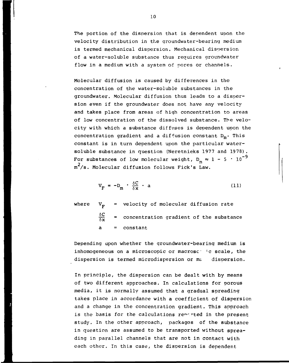The portion of the dispersion that is dependent upon the velocity distribution in the groundwater-bearing medium is termed mechanical dispersion. Mechanical disoersion of a water-soluble substance thus requires groundwater flow in a medium with a system of pores or channels.

Molecular diffusion is caused by differences in the concentration of the water-soluble substances in the groundwater. Molecular diffusion thus leads to a dispersion even if the groundwater does not have any velocity and takes place from areas of high concentration to areas of low concentration of the dissolved substance. The velocity with which a substance diffuses is dependent upon the concentration gradient and a diffusion constant  $D_m$ . This constant is in turn dependent upon the particular watersoluble substance in question (Neretnieks 1977 and 1978). For substances of low molecular weight, D  $_{\rm m}$   $\approx$  1 - 5  $\cdot$  10 $^{-9}$  $m^2/s$ . Molecular diffusion follows Fick's Law.

$$
V_{F} = -D_{m} \cdot \frac{\delta C}{\delta x} - a \tag{11}
$$

where  $V_{\mathbf{p}}$  = velocity of molecular diffusion rate  $\frac{\delta C}{\delta x}$  = concentration gradient of the substance  $a = constant$ 

Depending upon whether the groundwater-bearing medium is inhomogeneous on a microscopic or macroscometric scale, the dispersion is termed microdispersion or ma dispersion.

In principle, the dispersion can be dealt with by means of two different approaches. In calculations for porous media, it is normally assumed that a gradual spreading takes place in accordance with a coefficient of dispersion and a change in the concentration gradient. This approach is the basis for the calculations renarted in the present study. In the other approach, packages of the substance in question are assumed to be transported without spreading in parallel channels that are not in contact with each other. In this case, the dispersion is dependent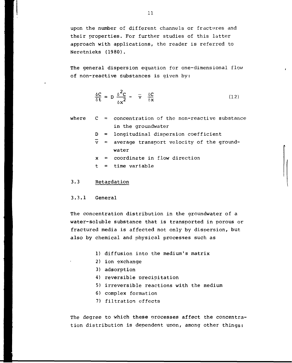upon the number of different channels or fractures and their properties. For further studies of this latter approach with applications, the reader is referred to Neretnieks (1980).

The general dispersion equation for one-dimensional flow of non-reactive substances is given by:

$$
\frac{\delta C}{\delta t} = D \frac{\delta^2 C}{\delta x^2} - \overline{v} \frac{\delta C}{\delta x}
$$
 (12)

- where  $C =$  concentration of the non-reactive substance in the groundwater
	- $D =$  longitudinal dispersion coefficient
	- $\bar{v}$  = average transport velocity of the groundwater
	- $x =$  coordinate in flow direction
	- $t =$  time variable

### 3.3 Retardation

### 3.3.1 General

The concentration distribution in the groundwater of a water-soluble substance that is transported in porous or fractured media is affected not only by dispersion, but also by chemical and physical processes such as

- 1) diffusion into the medium's matrix
- 2) ion exchange
- 3) adsorption
- 4) reversible precipitation
- 5) irreversible reactions with the medium
- 6) complex formation
- 7) filtration effects

The degree to which these processes affect the concentration distribution is dependent upon, among other things: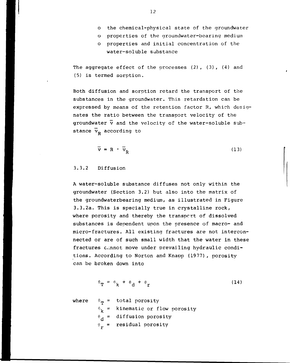- o properties of the groundwater-bearing medium
- o properties and initial concentration of the water-soluble substance

The aggregate effect of the processes (2), (3), (4) and (5) is termed sorption.

Both diffusion and sorption retard the transport of the substances in the groundwater. This retardation can be expressed by means of the retention factor R, which designates the ratio between the transport velocity of the groundwater  $\overline{v}$  and the velocity of the water-soluble substance  $\vec{v}_p$  according to

$$
\overline{\mathbf{v}} = \mathbf{R} \cdot \overline{\mathbf{v}}_{\mathbf{R}} \tag{13}
$$

### 3.3.2 Diffusion

A water-soluble substance diffuses not only within the groundwater (Section 3.2) but also into the matrix of the groundwaterbearing medium, as illustrated in Figure 3.3.2a. This is specially true in crystalline rock, where porosity and thereby the transport of dissolved substances is dependent upon the presence of macro- and micro-fractures. All existing fractures are not interconnected or are of such small width that the water in these fractures cannot move under prevailing hydraulic conditions. According to Norton and Knapp (1977), porosity can be broken down into

$$
\theta_{\mathbf{T}} = \theta_{\mathbf{k}} + \theta_{\mathbf{d}} + \theta_{\mathbf{r}} \tag{14}
$$

where  $\theta_{\rm m}$  = total porosity  $\theta_k$  = kinematic or flow porosity  $\theta_d$  = diffusion porosity  $\theta_r$  = residual porosity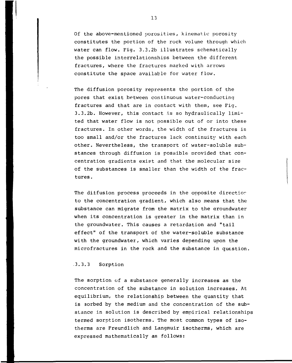Of the above-mentioned porosities, kinematic porosity constitutes the portion of the rock volume through which water can flow. Fig. 3.3.2b illustrates schematically the possible interrelationships between the different fractures, where the fractures marked with arrows constitute the space available for water flow.

The diffusion porosity represents the portion of the pores that exist between continuous water-conducting fractures and that are in contact with them, see Fig. 3.3.2b. However, this contact is so hydraulically limited that water flow is not possible out of or into these fractures. In other words, the width of the fractures is too small and/or the fractures lack continuity with each other. Nevertheless, the transport of water-soluble substances through diffusion is possible provided that concentration gradients exist and that the molecular size of the substances is smaller than the width of the fractures .

The diffusion process proceeds in the opposite directior to the concentration gradient, which also means that the substance can migrate from the matrix to the groundwater when its concentration is greater in the matrix than in the groundwater. This causes a retardation and "tail effect" of the transport of the water-soluble substance with the groundwater, which varies depending upon the microfractures in the rock and the substance in question.

### .3.3.3 Sorption

The sorption of a substance generally increases as the concentration of the substance in solution increases. At equilibrium, the relationship between the quantity that is sorbed by the medium and the concentration of the substance in solution is described by empirical relationships termed sorption isotherms. The most common types of isotherms are Freundlich and Langmuir isotherms, which are expressed mathematically as follows: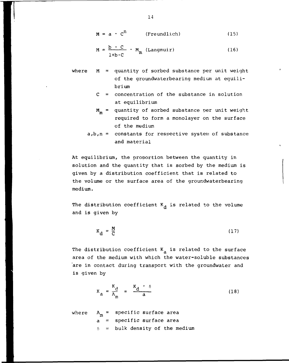$$
M = a \cdot c^n
$$
 (Freundlich) (15)

$$
M = \frac{b \cdot C}{1 + b \cdot C} \cdot M_m \text{ (Langmuir)}
$$
 (16)

where M = quantity of sorbed substance per unit weight of the groundwaterbearing medium at equilibrium

C = concentration of the substance in solution at equilibrium

$$
M_m
$$
 = quantity of sorted substance per unit weight required to form a monolayer on the surface of the medium

a,b,n = constants for respective system of substance and material

At equilibrium, the proportion between the quantity in solution and the quantity that is sorbed by the medium is given by a distribution coefficient that is related to the volume or the surface area of the groundwaterbearing medium.

The distribution coefficient  $K_A$  is related to the volume and is given by

$$
K_{\mathbf{d}} = \frac{M}{C} \tag{17}
$$

The distribution coefficient  $K_{\rm a}$  is related to the surface area of the medium with which the water-soluble substances area of the medium with which the water-soluble substances are in contact during transport with the groundwater and  $\alpha$ is given by

$$
K_{a} = \frac{K_{d}}{A_{m}} = \frac{K_{d} \cdot \delta}{a}
$$
 (18)

where  $A_m$  = specific surface area  $a =$  specific surface area  $\delta$  = bulk density of the medium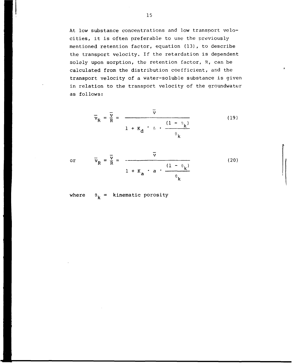At low substance concentrations and low transport velocities, it is often preferable to use the previously mentioned retention factor, equation (13), to describe the transport velocity. If the retardation is dependent solely upon sorption, the retention factor, R, can be calculated from the distribution coefficient, and the transport velocity of a water-soluble substance is given in relation to the transport velocity of the groundwater as follows:

$$
\overline{v}_{R} = \frac{\overline{v}}{R} = \frac{\overline{v}}{1 + K_{d} \cdot \delta \cdot \frac{(1 - \theta_{k})}{\theta_{k}}}
$$
(19)

or  $v_R = \frac{1}{R} =$   $\frac{1}{2}$   $\frac{1}{2}$   $\frac{1}{2}$   $\frac{1}{2}$   $\frac{1}{2}$   $\frac{1}{2}$   $\frac{1}{2}$   $\frac{1}{2}$   $\frac{1}{2}$   $\frac{1}{2}$   $\frac{1}{2}$   $\frac{1}{2}$   $\frac{1}{2}$   $\frac{1}{2}$   $\frac{1}{2}$   $\frac{1}{2}$   $\frac{1}{2}$   $\frac{1}{2}$   $\frac{1}{2}$   $\frac{1}{2}$   $\frac{$  $1 + K$ , a (20)

where  $\theta_k =$  kinematic porosity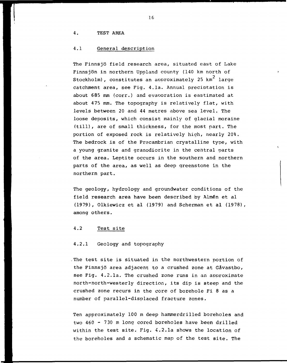### 4. TEST AREA

### 4.1 General description

The Finnsjö field research area, situated east of Lake Finnsjön in northern Uppland county (140 km north of  $\texttt{Stockholm}$  , constitutes an approximately 25 km $^2$  large catchment area, see Fig. 4.1a. Annual preciptation is about 685 mm (corr.) and evaooration is eastimated at about 475 mm. The topography is relatively flat, with levels between 20 and 44 metres above sea level. The loose deposits, which consist mainly of glacial moraine (till), are of small thickness, for the most part. The portion of exposed rock is relatively high, nearly 20%. The bedrock is of the Precambrian crystalline type, with a young granite and granodiorite in the central parts of the area. Leptite occurs in the southern and northern parts of the area, as well as deep greenstone in the northern part.

The geology, hydrology and groundwater conditions of the field research area have been described by Almén et al (1979), Olkiewicz et al (1979) and Scherman et al (1978), among others.

### 4.2 Test site

### 4.2.1 Geology and topography

The test site is situated in the northwestern portion of the Finnsjö area adjacent to a crushed zone at Gåvastbo, see Fig. 4.2.1a. The crushed zone runs in an approximate north-north-westerly direction, its dip is steep and the crushed zone recurs in the core of borehole Fi 8 as a number of parallel-displaced fracture zones.

Ten approximately 100 m deep hammerdrilled boreholes and two 460 - 730 m long cored boreholes have been drilled within the test site. Fig. 4.2.1a shows the location of the boreholes and a schematic map of the test site. The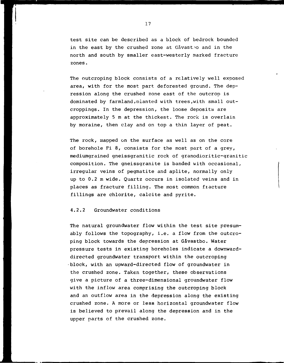test site can be described as a block of bedrock bounded in the east by the crushed zone at Gåvast.o and in the north and south by smaller east-westerly marked fracture zones.

The outcroping block consists of a relatively well exposed area, with for the most part deforested ground. The depression along the crushed zone east of the outcrop is dominated by farmland,oianted with trees,with small outcroppings. In the depression, the loose deposits are approximately 5 m at the thickest. The rock is overlain by moraine, then clay and on top a thin layer of peat.

The rock, mapped on the surface as well as on the core of borehole Fi 8, consists for the most part of a grey, mediumgrained gneissgranitic rock of granodioritic-granitic composition. The gneissgranite is banded with occasional, irregular veins of pegmatite and aplite, normally only up to 0.2 m wide. Quartz occurs in isolated veins and in places as fracture filling. The most common fracture fillings are chlorite, calcite and pyrite.

### 4.2.2 Groundwater conditions

The natural groundwater flow within the test site presumably follows the topography, i.e. a flow from the outcroping block towards the depression at Gåvastbo. Water pressure tests in existing boreholes indicate a downwarddirected groundwater transport within the outcroping block, with an upward-directed flow of groundwater in the crushed zone. Taken together, these observations give a picture of a three-dimensional groundwater flow with the inflow area comprising the outcroping block and an outflow area in the depression along the existing crushed zone. A more or less horizontal groundwater flow is believed to prevail along the depression and in the upper parts of the crushed zone.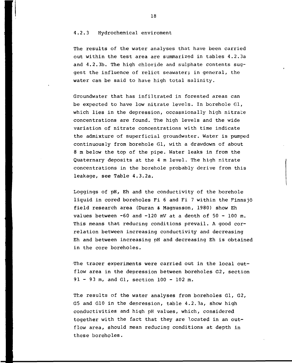### 4.2.3 Hydrochemical enviroment

The results of the water analyses that have been carried out within the test area are summarized in tables 4.2.3a and 4.2.3b. The high chloride and sulphate contents suggest the influence of relict seawater; in general, the water can be said to have high total salinity.

Groundwater that has infiltrated in forested areas can be expected to have low nitrate levels. In borehole Gl, which lies in the depression, occassionally high nitrate concentrations are found. The high levels and the wide variation of nitrate concentrations with time indicate the admixture of superficial groundwater. Water is pumped continuously from borehole Gl, with a drawdown of about 8 m below the top of the pipe. Water leaks in from the Quaternary deposits at the 4 m level. The high nitrate concentrations in the borehole probably derive from this leakage, see Table 4.3.2a.

Loggings of pH, Eh and the conductivity of the borehole liquid in cored boreholes Fi 6 and Fi 7 within the Finnsjö field research area (Duran & Magnusson, 1980) show Eh values between  $-60$  and  $-120$  mV at a depth of  $50 - 100$  m. This means that reducing conditions prevail. A good correlation between increasing conductivity and decreasing Eh and between increasing pH and decreasing Eh is obtained in the core boreholes.

•The tracer experiments were carried out in the local outflow area in the depression between boreholes G2, section 91 - 93 m, and Gl, section 100 - 102 m.

The results of the water analyses from boreholes Gl, G2, G5 and G10 in the depression, table 4.2.3a, show high conductivities and high pH values, which, considered together with the fact that they are located in an outflow area, should mean reducing conditions at depth in these boreholes.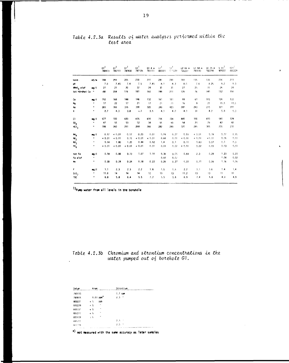|                        |                      | $\mathfrak{a}^1$<br>780413 | G1 <sup>1</sup><br>780711 | $G1^1$<br>780830 | GI <sup>1</sup><br>781026 | G1.4 m<br>781111 | $\mathbb{G}^1$<br>800221 | at <sup>t</sup><br>810229 | G2 66 m<br>780227 | 62.94 m<br>781030 | G5 25 m<br>780704 | 6.10 <sup>1</sup><br>800221 | امته<br>800229 |
|------------------------|----------------------|----------------------------|---------------------------|------------------|---------------------------|------------------|--------------------------|---------------------------|-------------------|-------------------|-------------------|-----------------------------|----------------|
| kond .                 | mS/m                 | 198                        | 255                       | 205              | 230                       | 210              | $250 -$                  | 280                       | 190               | 135               | 135               | 216                         | 211            |
| pH                     |                      | 7.0                        | 7.45                      | 7.4              | 7.5                       | 7.45             | $\mathbf{B}$ , 1         | B.3                       | 8,0               | 7.6               | 8.25              | 8.2                         | 8.3            |
| KMnO <sub>n</sub> elof | mq/1                 | 27                         | 21                        | 20               | 32                        | 24               | 30                       | 31                        | 27                | 25                | 15                | 26                          | 24             |
| tot härdhet Ca "       |                      | $180 -$                    | 204                       | 1/6              | 181                       | 160              | 198                      | 201                       | 126               | 76                | 140               | 152                         | 156            |
| Ca                     | ag/1                 | 152                        | 168                       | 148              | 146                       | 132              | 161                      | 161                       | 99                | 61                | 105               | 126                         | 133            |
| Mg                     | Ħ.                   | 17                         | 22                        | 17               | 21                        | $\mathbf{17}$    | 21                       | 21                        | 16                | 9                 | 2!                | 15.5                        | 13.5           |
| Na                     | ٠                    | 265                        | 355                       | 315              | 330                       | 320              | 390                      | 420                       | 289               | 240               | 275               | 320                         | 320            |
| ĸ                      | ۰                    | 2.7                        | 4.3                       | 3.8              | 4.1                       | 3.5              | 4.3                      | 4.0                       | 4.3               | 31                | 4.7               | 5.8                         | 5.3            |
| C1                     | mg/1                 | 577                        | 720                       | 620              | 635                       | 600              | 716                      | 724                       | 445               | 330               | 600               | 540                         | 524            |
| 50 <sub>4</sub>        | $\pmb{\mathfrak{u}}$ | 47                         | 55                        | 53               | 52                        | 34               | 55                       | 50                        | 54                | 2 <sub>0</sub>    | 29                | 42                          | 42             |
| HCO <sub>3</sub>       | ۰                    | 198                        | 260                       | 251              | 268                       | 266              | 282                      | 290                       | 320               | 285               | 305               | 235                         | 233            |
| $M_{\rm A}$            | mq/1                 | 0.17                       | 0.01                      | 0.17             | 0.20                      | 0.01             | 0.09                     | 0.27                      | 0.50              | 0.01              | 0.99              | 0.17                        | 0.15           |
| m <sub>2</sub>         | m                    | 0.01                       | 0.01                      | 0.15             | $\leq 0.01$               | 0.01             | 0.66                     | 0.01                      | 0.01              | 0.01              | 0.01              | 0.05                        | 0.01           |
| m <sub>3</sub>         | $\mathbf{u}$         | 0.14                       | 1.80                      | 1.20             | 0.44                      | 0.92             | 1.4                      | 0.1                       | 0.11              | 0.63              | 0.07              | 0.1                         | 0.3            |
| PO <sub>4</sub>        | ۰                    | < 0.01                     | 0.01                      | 0.01             | < 0.01                    | 0.01             | 0.01                     | 0.07                      | 4.01              | 0.02              | 0.01              | 0.03                        | 0.01           |
| tot Fe                 | m/1                  | 0.18                       | 0.86                      | 0.10             | 1.07                      | 1.10             | 0.36                     | 0.05                      | 0.64              | 2.3               | 0.29              | 0.23                        | 0.23           |
| Fe elof                | ×                    |                            |                           |                  |                           |                  | 0.02                     | 0.04                      |                   |                   |                   | 0.04                        | 0.02           |
| Mn                     | m.                   | 0.30                       | 0.24                      | 0.24             | 0.18                      | 0.22             | 0.26                     | 0.27                      | 0.22              | 0.11              | 0.06              | 0.16                        | 0.16           |
| F.                     | mg/1                 | 1.1                        | 2.3                       | 2.3              | 2.2                       | 1.8              | 1.5                      | 1.6                       | 2.2               | 3.1               | 3.6               | 1.4                         | 1.4            |
| $\mathsf{SiO}_2$       | $\pmb{\mathsf{H}}$   | 11.8                       | 14                        | 14               | 14                        | 12               | 13                       | $13 -$                    | 11.2              | 13                | 13                | $11 -$                      | $\mathbf{H}$   |
| TOC                    | Ħ                    | 6.8                        | 5.8                       | 6.4              | 5.5                       | 7.2              | 5.5                      | 5.6                       | 6.9               | 7.4               | 5.8               | 4.9                         | 4.9            |

### Table 4.2.3a Results of water analyses performed within the test area

 $1)$ Pump water from all levels in the borehole

# Table 4.2.3b Chromium and strontium concentrations in the water pumped out of borehole  $G1$ .

| Datum         | Krom                      | Strontium |
|---------------|---------------------------|-----------|
| 790110        |                           | $1.7$ ppm |
| 790915        | $0.01$ ppm <sup>x</sup>   | 2.3<br>n  |
| 800221        | k S<br>pph                |           |
| 800229        | $\bullet$<br>$\leq$ 5     |           |
| 890331        | $\mathbf{a}$<br>$\leq 5$  |           |
| 800507        | $\ddot{\phantom{1}}$<br>5 |           |
| 809508        | $\mathbf{u}$<br>ζh        |           |
| 890717        |                           | 7.3       |
| <b>AISTIR</b> |                           | ٠,<br>2.0 |
| $\cdot$       |                           |           |

 $x)$  not measured with the same accuracy as later samples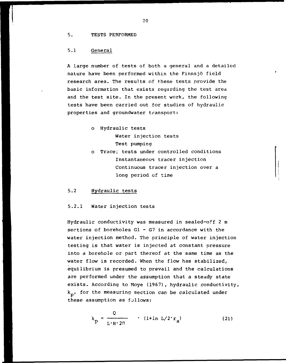### 5. TESTS PERFORMED

### 5.1 General

A large number of tests of both a general and a detailed nature have been performed within the Finnsjö field research area. The results of these tests provide the basic information that exists regarding the test area and the test site. In the present work, the following tests have been carried out for studies of hydraulic properties and groundwater transport:

- o Hydraulic tests Water injection tests Test pumping
- o Tracer tests under controlled conditions Instantaneous tracer injection Continuous tracer injection over a long period of time

### 5.2 Hydraulic tests

### 5.2.1 Water injection tests

Hydraulic conductivity was measured in sealed-off 2 m sections of boreholes  $GI - G7$  in accordance with the water injection method. The principle of water injection testing is that water is injected at constant pressure into a borehole or part thereof at the same time as the water flow is recorded. When the flow has stabilized, equilibrium is presumed to prevail and the calculations are performed under the assumption that a steady state exists. According to Moye (1967), hydraulic conductivity,  $k_{\rm n}$ , for the measuring section can be calculated under these assumption as follows:

$$
k_{\rm p} = \frac{Q}{L \cdot H \cdot 2\Pi} \qquad (1 + \ln L / 2 \cdot r_{\rm a}) \tag{21}
$$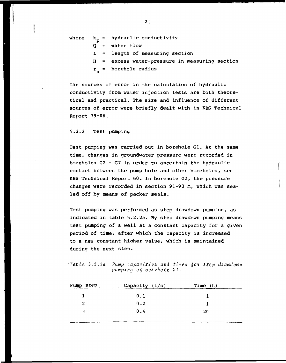- where  $k_n$  = hydraulic conductivity
	- $\overline{Q}$ = water flow
	- $L =$  length of measuring section
	- $H =$  excess water-pressure in measuring section
	- borehole radius  $r_{\rm a}$

The sources of error in the calculation of hydraulic conductivity from water injection tests are both theoretical and practical. The size and influence of different sources of error were briefly dealt with in KBS Technical Report 79-06.

### 5.2.2 Test pumping

Test pumping was carried out in borehole Gl. At the same time, changes in groundwater pressure were recorded in boreholes  $G2 - G7$  in order to ascertain the hydraulic contact between the pump hole and other boreholes, see KBS Technical Report 60. In borehole G2, the pressure changes were recorded in section 91-93 m, which was sealed off by means of packer seals.

Test pumping was performed as step drawdown pumping, as indicated in table 5.2.2a. By step drawdown pumping means test pumping of a well at a constant capacity for a given period of time, after which the capacity is increased to a new constant hiaher value, which is maintained during the next step.

 $\cdot$ Table 5.2.2a Pump capacities and times for step drawdown pumping  $of$  borehole  $GI$ .

| Pump step | Capacity $(1/s)$ | Time $(h)$ |  |
|-----------|------------------|------------|--|
|           | 0.1              |            |  |
| 2         | 0.2              |            |  |
| ર         | 0.4              | 20         |  |
|           |                  |            |  |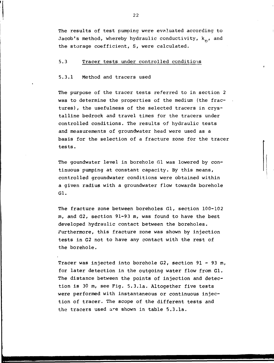The results of test pumping were evaluated according to Jacob's method, whereby hydraulic conductivity,  $k_n$ , and the storage coefficient, S, were calculated.

### 5.3 Tracer tests under controlled conditions

### 5.3.1 Method and tracers used

The purpose of the tracer tests referred to in section 2 was to determine the properties of the medium (the fractures) , the usefulness of the selected tracers in crystalline bedrock and travel times for the tracers under controlled conditions. The results of hydraulic tests and measurements of groundwater head were used as a basis for the selection of a fracture zone for the tracer tests.

The goundwater level in borehole Gl was lowered by continuous pumping at constant capacity. By this means, controlled groundwater conditions were obtained within a given radius with a groundwater flow towards borehole Gl.

The fracture zone between boreholes Gl, section 100-102 m, and G2, section 91-93 m, was found to have the best developed hydraulic contact between the boreholes. Furthermore, this fracture zone was shown by injection tests in G2 not to have any contact with the rest of the borehole.

Tracer was injected into borehole G2, section 91 - 93 m, for later detection in the outgoing water flow from Gl. The distance between the points of injection and detection is 30 m, see Fig. 5.3.1a. Altogether five tests were performed with instantaneous or continuous injection of tracer. The scope of the different tests and the tracers used are shown in table 5.3.1a.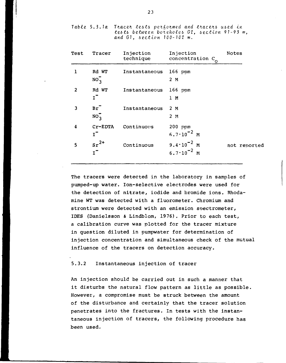Table 5.3.1a Tracer tests performed and tracers used in  $tests$  between boreholes  $G2$ , section 91-93 m, and  $G1.$  section  $100 - 102$  m.

| Test | Tracer                      | Injection<br>technique | Injection<br>concentration $c_0$                        | Notes        |
|------|-----------------------------|------------------------|---------------------------------------------------------|--------------|
| 1    | Rd WT<br>$NO_3$             | Instantaneous          | 166 ppm<br>2 M                                          |              |
| 2    | Rd WT<br>$\mathbf{I}^-$     | Instantaneous          | 166 ppm<br>1 M                                          |              |
| 3    | $Br^-$<br>$NO_3$            | Instantaneous          | 2 M<br>2M                                               |              |
| 4    | Cr-EDTA<br>$\mathbf{I}^-$   | Continuous             | $200$ ppm<br>$6.7 \cdot 10^{-2}$ M                      |              |
| 5    | $sr^{2+}$<br>$\mathbf{I}^-$ | Continuous             | 9.4 $\cdot$ 10 <sup>-2</sup> M<br>$6.7 \cdot 10^{-2}$ M | not reported |

The tracers were detected in the laboratory in samples of pumped-up water. Ion-selective electrodes were used for the detection of nitrate, iodide and bromide ions. Rhodamine WT was detected with a fluorometer. Chromium and strontium were detected with an emission soectrometer, IDES (Danielsson & Lindblom, 1976). Prior to each test, a calibration curve was plotted for the tracer mixture in question diluted in pumpwater for determination of injection concentration and simultaneous check of the mutual influence of the tracers on detection accuracy.

### 5.3.2 Instantaneous injection of tracer

An injection should be carried out in such a manner that it disturbs the natural flow pattern as little as possible. However, a compromise must be struck between the amount of the disturbance and certainly that the tracer solution penetrates into the fractures. In tests with the instantaneous injection of tracers, the following procedure has been used.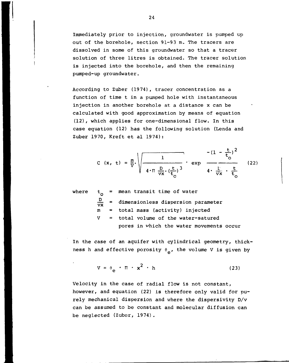Immediately prior to injection, groundwater is pumped up out of the borehole, section 91-93 m. The tracers are dissolved in some of this groundwater so that a tracer solution of three litres is obtained. The tracer solution is injected into the borehole, and then the remaining pumped-up groundwater.

According to Zuber (1974), tracer concentration as a function of time t in a pumped hole with instantaneous injection in another borehole at a distance x can be calculated with good approximation by means of equation (12), which applies for one-dimensional flow. In this case equation (12) has the following solution (Lenda and Zuber 1970, Kreft et al 1974):

$$
C (x, t) = \frac{m}{v} \sqrt{\frac{1}{4 \cdot \pi \frac{D}{vx} \left(\frac{t}{t_0}\right)^3}} \cdot \exp \frac{-(1 - \frac{t}{t_0})^2}{4 \cdot \frac{D}{vx} \cdot \frac{t}{t_0}}
$$
(22)

where

 $t_{\rm o}$ <u>ם</u> vx m V = mean transit time of water = dimensionless dispersion parameter = total mass (activity) injected = total volume of the water-satured pores in which the water movements occur

In the case of an aquifer with cylindrical geometry, thickness h and effective porosity  $\theta_{\rho}$ , the volume V is given by

$$
V = \theta_{\rm e} \cdot \Pi \cdot x^2 \cdot h \tag{23}
$$

Velocity in the case of radial flow is not constant, however, and equation (22) is therefore only valid for purely mechanical dispersion and where the dispersivity D/v can be assumed to be constant and molecular diffusion can be neglected (Zuber, 1974).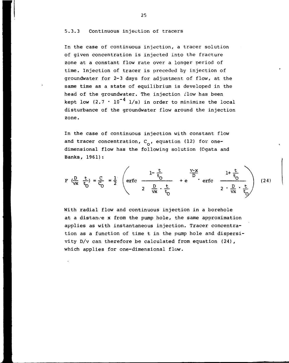### 5.3.3 Continuous injection of tracers

In the case of continuous injection, a tracer solution of given concentration is injected into the fracture zone at a constant flow rate over a longer period of time. Injection of tracer is preceded by injection of groundwater for 2-3 days for adjustment of flow, at the same time as a state of equilibrium is developed in the head of the groundwater. The injection flow has been kept low (2.7  $\cdot$  10<sup>-4</sup> l/s) in order to minimize the local disturbance of the groundwater flow around the injection zone.

In the case of continuous injection with constant flow and tracer concentration,  $C_{0}$ , equation (12) for onedimensional flow has the following solution (Ogata and Banks, 1961):

$$
F\left(\frac{D}{vx} \frac{t}{t_0}\right) = \frac{C}{C_0} = \frac{1}{2} \left( erfc \frac{1-\frac{t}{t_0}}{2\frac{D}{vx} \cdot \frac{t}{t_0}} + e \frac{v \cdot x}{F} \right) (24)
$$

With radial flow and continuous injection in a borehole at a distance x from the pump hole, the same approximation applies as with instantaneous injection. Tracer concentration as a function of time t in the pump hole and dispersivity D/v can therefore be calculated from equation (24), which applies for one-dimensional flow.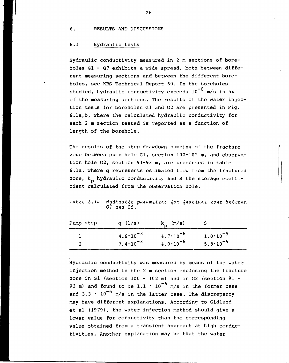6. RESULTS AND DISCUSSIONS

### 6.1 Hydraulic tests

Hydraulic conductivity measured in 2 m sections of boreholes Gl - G7 exhibits a wide spread, both between different measuring sections and between the different boreholes, see KBS Technical Report 60. In the boreholes studied, hydraulic conductivity exceeds  $10^{-6}$  m/s in 5% of the measuring sections. The results of the water injection tests for boreholes Gl and G2 are presented in Fig. 6.1a,b, where the calculated hydraulic conductivity for each 2 m section tested is reported as a function of length of the borehole.

The results of the step drawdown pumping of the fracture zone between pump hole Gl, section 100-102 m, and observation hole G2, section 91-93 m, are presented in table 6.1a, where q represents estimated flow from the fractured zone,  $k_n$  hydraulic conductivity and S the storage coefficient calculated from the observation hole.

Table 6.1a Hydraulic parameters for fracture zone between Gl and Gl.

| Pump step     | q $(1/s)$           | $k_{p}$ (m/s)        |                     |
|---------------|---------------------|----------------------|---------------------|
|               | $4.6 \cdot 10^{-3}$ | 4.7.10 <sup>-6</sup> | $1.0 \cdot 10^{-5}$ |
| $\mathcal{P}$ | $7.4 \cdot 10^{-3}$ | $4.0 \cdot 10^{-6}$  | $5.8 \cdot 10^{-6}$ |

Hydraulic conductivity was measured by means of the water injection method in the 2 m section enclosing the fracture zone in Gl (section  $100 - 102$  m) and in G2 (section  $91 -$ 93 m) and found to be 1.1  $\cdot$  10<sup>-6</sup> m/s in the former case and  $3.3 \cdot 10^{-6}$  m/s in the latter case. The discrepancy may have different explanations. According to Gidlund et al (19 79), the water injection method should give a lower value for conductivity than the corresponding value obtained from a transient approach at high conductivities. Another explanation may be that the water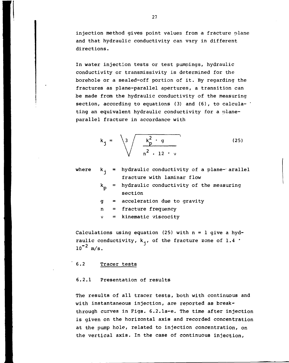injection method gives point values from a fracture plane and that hydraulic conductivity can vary in different directions.

In water injection tests or test pumpings, hydraulic conductivity or transmissivity is determined for the borehole or a sealed-off portion of it. By regarding the fractures as plane-parallel apertures, a transition can be made from the hydraulic conductivity of the measuring section, according to equations (3) and (6), to calcula- ' ting an equivalent hydraulic conductivity for a planeparallel fracture in accordance with

$$
k_{j} = \sqrt{3 \sqrt{\frac{k_{p}^{2} \cdot g}{n^{2} \cdot 12 \cdot \nu}}}
$$
 (25)

where

- $k_i$  = hydraulic conductivity of a plane-- arallel fracture with laminar flow
	- hydraulic conductivity of the measuring section
	- g acceleration due to gravity
	- n  $=$  fracture frequency
	- v  $=$  kinematic viscocity

Calculations using equation (25) with  $n = 1$  give a hydraulic conductivity,  $k_i$ , of the fracture zone of 1.4  $\cdot$  $10^{-2}$  m/s.

### 6.2 Tracer tests

### 6.2.1 Presentation of results

The results of all tracer tests, both with continuous and with instantaneous injection, are reported as breakthrough curves in Figs. 6.2.1a-e. The time after injection is given on the horizontal axis and recorded concentration at the pump hole, related to injection concentration, on the vertical axis. In the case of continuous injection,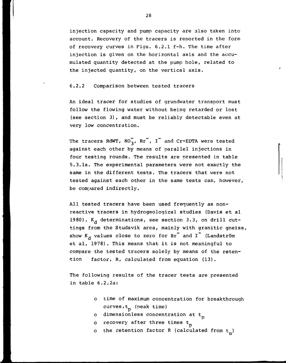injection capacity and pump capacity are also taken into account. Recovery of the tracers is reported in the form of recovery curves in Figs. 6.2.1 f-h. The time after injection is given on the horizontal axis and the accumulated quantity detected at the pump hole, related to the injected quantity, on the vertical axis.

### 6.2.2 Comparison between tested tracers

An ideal tracer for studies of grundwater transport must follow the flowing water without being retarded or lost (see section 3), and must be reliably detectable even at very low concentration.

The tracers RdWT,  $NO_3$ , Br<sup>-</sup>, I<sup>-</sup> and Cr-EDTA were tested against each other by means of parallel injections in four testing rounds. The results are presented in table 5.3.1a. The experimental parameters were not exactly the same in the different tests. The tracers that were not tested against each other in the same tests can, however, be compared indirectly.

All tested tracers have been used frequently as nonreactive tracers in hydrogeological studies (Davis et al 1980).  $K_A$  determinations, see section 3.3, on drill cuttings from the Studsvik area, mainly with granitic gneiss, show  $K_d$  values close to zero for  $Br^-$  and  $I^-$  (Landström et al, 1978). This means that it is not meaningful to compare the tested tracers solely by means of the retention factor, R, calculated from equation (13).

The following results of the tracer tests are presented in table 6.2.2a:

> o time of maximum concentration for breakthrough curves,  $t_p$  (peak time)

> > P

- o dimensionless concentration at  $t_{\text{n}}$
- o recovery after three times t<sub>n</sub>
- o the retention factor R (calculated from  $t_n$ )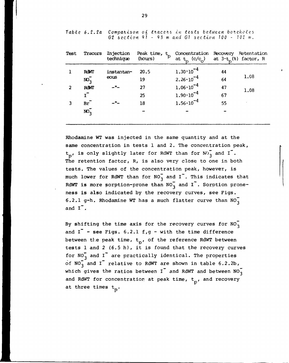| Test | Tracers          | Injection<br>technique | Peak time, t<br>(hours) | Concentration Recovery Retentation<br>at $t_p$ (c/c <sub>o</sub> ) |    | at $3 \cdot t$ (%) factor, R |
|------|------------------|------------------------|-------------------------|--------------------------------------------------------------------|----|------------------------------|
|      | <b>ROWT</b>      | instantan-             | 20.5                    | $1.30 \cdot 10^{-4}$                                               | 44 |                              |
|      | $NO_2^-$         | eous                   | 19                      | $2.26 \cdot 10^{-4}$                                               | 64 | 1.08                         |
| 2    | <b>ROWT</b>      | -"-                    | 27                      | $1.06 \cdot 10^{-4}$                                               | 47 | 1.08                         |
|      | $\mathbf{r}$     |                        | 25                      | $1.90 \cdot 10^{-4}$                                               | 67 |                              |
|      | Br               |                        | 18                      | $1.56 \cdot 10^{-4}$                                               | 55 |                              |
|      | $\overline{M_2}$ |                        |                         |                                                                    |    |                              |
|      |                  |                        |                         |                                                                    |    |                              |

*Table 6.2.2a* Comparison of tracers in tests between boreholes *G2 i2.ction* 9 7 - 9 3 *m and* G? *itctlon 100* - *102* m.

Rhodamine WT was injected in the same quantity and at the same concentration in tests 1 and 2. The concentration peak,  $t_p$ , is only slightly later for RdWT than for  $N0\frac{1}{3}$  and I<sup>-</sup>. The retention factor, R, is also very close to one in both tests. The values of the concentration peak, however, is much lower for RdWT than for  $NO_3^-$  and I<sup>-</sup>. This indicates that RdWT is more sorption-prone than  $NO_3^-$  and I<sup>-</sup>. Sorption proneness is also indicated by the recovery curves, see Figs. 6.2.1 g-h. Rhodamine WT has a much flatter curve than  $NO_2^$ and  $I^{\dagger}$ .

By shifting the time axis for the recovery curves for  $NO_3^$ and  $I^-$  - see Figs. 6.2.1 f,g - with the time difference between the peak time,  $t_p$ , of the reference RdWT between tests 1 and 2 (6.5 h) , it is found that the recovery curves for  $NO_3^-$  and I<sup>-</sup> are practically identical. The properties of NO<sub>3</sub> and I<sup>-</sup> relative to RdWT are shown in table 6.2.2b, which gives the ratios between  $I^-$  and RdWT and between NO<sub>3</sub> and RdWT for concentration at peak time,  $t_p$ , and recovery at three times  $t_n$ .

 $\mathbf{r}$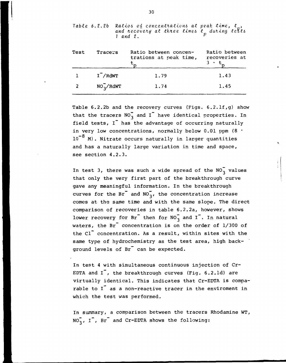| Test           | Tracers            | Ratio between concen-<br>trations at peak time, | Ratio between<br>recoveries at |
|----------------|--------------------|-------------------------------------------------|--------------------------------|
|                | $I^{\dagger}/RdWT$ | 1.79                                            | 1.43                           |
| $\overline{2}$ | $NO_3/RdWT$        | 1.74                                            | 1.45                           |
|                |                    |                                                 |                                |

Table 6.2.2b Ratios of concentrations at peak time, t<sub>o</sub>, and recovery at three times t<sub>o</sub> during tests *1 and 2.<sup>p</sup>*

Table 6.2.2b and the recovery curves (Figs. 6.2.1f, q) show that the tracers  $NO_2^-$  and I<sup>-</sup> have identical properties. In field tests, I<sup>™</sup> has the advantage of occurring naturally in very low concentrations, normally below 0.01 ppm  $(8 \tcdot$  $10^{-8}$  M). Nitrate occurs naturally in larger quantities and has a naturally large variation in time and space, see section 4.2.3.

In test 3, there was such a wide spread of the  $NO_2^-$  values that only the very first part of the breakthrough curve gave any meaningful information. In the breakthrough curves for the  $Br^{\dagger}$  and  $NO_{3}^{\dagger}$ , the concentration increase comes at the same time and with the same slope. The direct comparison of recoveries in table 6.2.2a, however, shows lower recovery for  $Br^{\dagger}$  then for  $NO_{3}^{\dagger}$  and I<sup>-</sup>. In natural waters, the  $Br^{\dagger}$  concentration is on the order of  $1/300$  of the Cl<sup>-</sup> concentration. As a result, within sites with the same type of hydrochemistry as the test area, high background levels of Br<sup>-</sup> can be expected.

In test 4 with simultaneous continuous injection of Cr-EDTA and  $I^{\dagger}$ , the breakthrough curves (Fig. 6.2.1d) are virtually identical. This indicates that Cr-EDTA is comparable to I<sup>t</sup> as a non-reactive tracer in the enviroment in which the test was performed.

In summary, a comparison between the tracers Rhodamine WT,  $NO_3^-$ ,  $I^-$ ,  $Br^-$  and Cr-EDTA shows the following: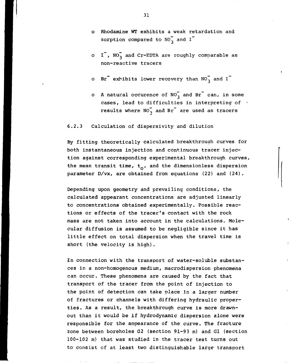- o Rhodamine WT exhibits a weak retardation and sorption compared to  $NO_{3}^{-}$  and I<sup>-</sup>
- o  $I^{\dagger}$ , NO<sub>3</sub> and Cr-EDTA are roughly comparable as non-reactive tracers
- o Br<sup>-</sup> exhibits lower recovery than  $NO_3^-$  and I<sup>-</sup>
- o A natural occurence of  $NO_3^-$  and Br<sup>-</sup> can, in some cases, lead to difficulties in interpreting of  $\cdot$ results where  $NO_2^-$  and  $Br^-$  are used as tracers

### 6.2.3 Calculation of dispersivity and dilution

By fitting theoretically calculated breakthrough curves for both instantaneous injection and continuous tracer injection against corresponding experimental breakthrough curves, the mean transit time,  $t_0$ , and the dimensionless dispersion parameter D/vx, are obtained from equations (22) and (24).

Depending upon geometry and prevailing conditions, the calculated appearant concentrations are adjusted linearly to concentrations obtained experimentally. Possible reactions or effects of the tracer's contact with the rock mass are not taken into account in the calculations. Molecular diffusion is assumed to be negligible since it has little effect on total dispersion when the travel time is short (the velocity is high).

•In connection with the transport of water-soluble substances in a non-homogenous medium, macrodispersion phenomena can occur. These phenomena are caused by the fact that transport of the tracer from the point of injection to the point of detection can take place in a larger number of fractures or channels with differing hydraulic properties. As a result, the breakthrough curve is more drawnout than it would be if hydrodynamic dispersion alone were responsible for the appearance of the curve. The fracture zone between boreholes G2 (section 91-93 m) and Gl (section 100-102 m) that was studied in the tracer test turns out to consist of at least two distinguishable large transport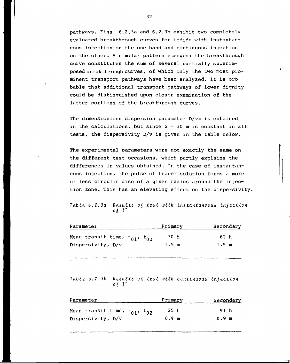pathways. Figs. 6.2.3a and 6.2.3b exhibit two completely evaluated breakthrough curves for iodide with instantaneous injection on the one hand and continuous injection on the other. A similar pattern emerges: the breakthrough curve constitutes the sum of several oartially superimposed breakthrough curves, of which only the two most prominent transport pathways have been analyzed. It is probable that additional transport pathways of lower dignity could be distinguished upon closer examination of the latter portions of the breakthrough curves.

The dimensionless dispersion parameter D/vx is obtained in the calculations, but since  $x = 30$  m is constant in all tests, the dispersivity D/v is given in the table below.

The experimental parameters were not exactly the same on the different test occasions, which partly explains the differences in values obtained. In the case of instantaneous injection, the pulse of tracer solution forms a more or less circular disc of a given radius around the injection zone. This has an elevating effect on the dispersivity.

Table 6.2.3a Results of test with instantaneous injection<br> $0.6 \times 1$ 

| Primary | Secondary       |
|---------|-----------------|
| 30 h    | 62 h            |
| 1.5 m   | $1.5 \text{ m}$ |
|         |                 |

Table 6.2.3b Results of test with continuous injection  $\circ$  6  $\prime$   $\prime$ 

| Parameter                                            | Primary         | Secondary |
|------------------------------------------------------|-----------------|-----------|
| Mean transit time, t <sub>01</sub> , t <sub>02</sub> | 25 <sub>h</sub> | 91 h      |
| Dispersivity, D/v                                    | $0.9 \text{ m}$ | 0.9 m     |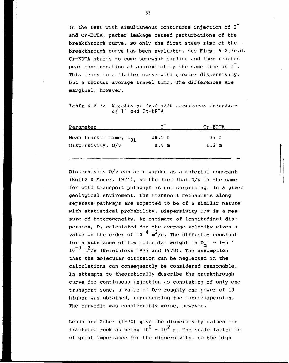In the test with simultaneous continuous injection of I<sup>-</sup> and Cr-EDTA, packer leakage caused perturbations of the breakthrough curve, so only the first steep rise of the breakthrough curve has been evaluated, see Figs. 6.2.3c,d. Cr-EDTA starts to come somewhat earlier and then reaches peak concentration at approximately the same time as  $I^-.$ This leads to a flatter curve with greater dispersivity, but a shorter average travel time. The differences are marginal, however.

Table 6.2.3c Results of test with continuous injection *oi* I" *and Cfi-EVTA*

| Parameter                   |                   | $Cr$ -EDTA      |
|-----------------------------|-------------------|-----------------|
| Mean transit time, $t_{01}$ | 38.5 <sub>h</sub> | 37 h            |
| Dispersivity, D/v           | 0.9 <sub>m</sub>  | $1.2 \text{ m}$ |
|                             |                   |                 |

Dispersivity D/v can be regarded as a material constant (Koltz & Moser, 1974), so the fact that D/v is the same for both transport pathways is not surprising. In a given geological enviroment, the transport mechanisms along separate pathways are expected to be of a similar nature with statistical probability. Dispersivity D/v is a measure of heterogeneity. An estimate of longitudinal dispersion, D, calculated for the average velocity gives a value on the order of  $10^{-4}$  m<sup>2</sup>/s. The diffusion constant for a substance of low molecular weight is  $D_m \approx 1-5$  $10^{-9}$  m<sup>2</sup>/s (Neretnieks 1977 and 1978). The assumption that the molecular diffusion can be neglected in the calculations can consequently be considered reasonable. In attempts to theoretically describe the breakthrough curve for continuous injection as consisting of only one transport zone, a value of  $D/v$  roughly one power of  $10$ higher was obtained, representing the macrodispersion. The curvefit was considerably worse, however.

Lenda and Zuber (1970) give the dispersivity values for fractured rock as being  $10^0$  -  $10^2$  m. The scale factor is of great importance for the disoersivity, so the high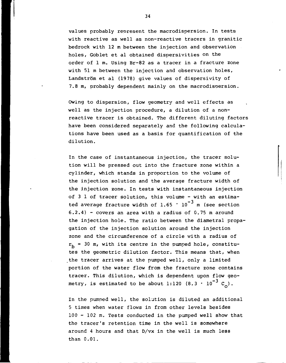values probably reoresent the macrodispersion. In tests with reactive as well as non-reactive tracers in granitic bedrock with 12 m between the injection and observation holes, Goblet et al obtained dispersivities on the order of 1 m. Using Br-82 as a tracer in a fracture zone with 51 m between the injection and observation holes, Landström et al (1978) give values of dispersivity of 7.8 m, probably dependent mainly on the macrodisoersion.

Owing to dispersion, flow geometry and well effects as well as the injection procedure, a dilution of a nonreactive tracer is obtained. The different diluting factors have been considered separately and the following calculations have been used as a basis for quantification of the dilution.

In the case of instantaneous injection, the tracer solution will be pressed out into the fracture zone within a cylinder, which stands in proportion to the volume of the injection solution and the average fracture width of the injection zone. In tests with instantaneous injection of 3 1 of tracer solution, this volume - with an estimated average fracture width of  $1.65 \cdot 10^{-3}$  m (see section  $6.2.4$ ) - covers an area with a radius of 0.75 m around the injection hole. The ratio between the diametral propagation of the injection solution around the injection zone and the circumference of a circle with a radius of  $r_h$  = 30 m, with its centre in the pumped hole, constitutes the geometric dilution factor. This means that, when the tracer arrives at the pumped well, only a limited portion of the water flow from the fracture zone contains tracer. This dilution, which is dependent upon flow geometry, is estimated to be about 1:120 (8.3  $\cdot$  10<sup>-3</sup> C<sub>2</sub>).

In the pumped well, the solution is diluted an additional 5 times when water flows in from other levels besides 100 - 102 m. Tests conducted in the pumped well show that the tracer's retention time in the well is somewhere around 4 hours and that D/vx in the well is much less than 0.01.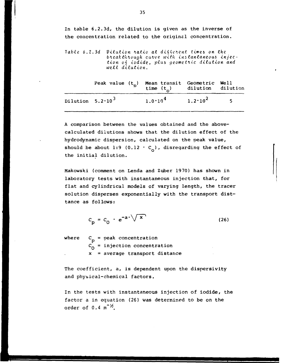In table 6.2.3d, the dilution is given as the inverse of the concentration related to the original concentration.

Table 6.2.3d Dilution ratio at different times on the. breakthrough curve with instantaneous injection of iodide, plus geometric dilution and well dilution.

|                           | Peak value $(t_p)$ Mean transit Geometric Well<br>time $(t_p)$ dilution dilution |                                         |  |
|---------------------------|----------------------------------------------------------------------------------|-----------------------------------------|--|
| Dilution $5.2 \cdot 10^3$ |                                                                                  | $1.0 \cdot 10^{4}$ $1.2 \cdot 10^{2}$ 5 |  |

A comparison between the values obtained and the abovecalculated dilutions shows that the dilution effect of the hydrodynamic dispersion, calculated on the peak value, should be about 1:9 (0.12  $\cdot$  C<sub>o</sub>), disregarding the effect of the initial dilution.

Makowski (comment on Lenda and Zuber 19 70) has shown in laboratory tests with instantaneous injection that, for flat and cylindrical models of varying length, the tracer solution disperses exponentially with the transport disttance as follows:

$$
c_p = c_0 \cdot e^{-a \cdot \sqrt{x}}
$$
 (26)

where  $C_p$  = peak concentration  $C_0$  = injection concentration x = average transport distance

The coefficient, a, is dependent upon the dispersivity and physical-chemical factors.

In the tests with instantaneous injection of iodide, the factor a in equation (26) was determined to be on the order of  $0.4 \text{ m}^{-1/2}$ .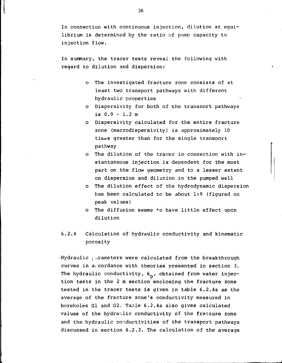In connection with continuous injection, dilution at equilibrium is determined by the ratio of pump capacity to injection flow.

In summary, the tracer tests reveal the following with regard to dilution and dispersion:

- o The investigated fracture zone consists of at least two transport pathways with different hydraulic properties
- o Dispersivity for both of the transport pathways is  $0.9 - 1.2$  m
- o Dispersivity calculated for the entire fracture zone (macrodispersivity) is approximately 10 tines greater than for the single transport pathway
- o The dilution of the tracer in connection with instantaneous injection is dependent for the most part on the flow geometry and to a lesser extent on dispersion and dilution in the pumped well
- o The dilution effect of the hydrodynamic dispersion has been calculated to be about 1:9 (figured on peak values)
- o The diffusion seems to have little effect upon dilution
- 6.2.4 Calculation of hydraulic conductivity and kinematic porosity

 $\cdot$ Hydraulic  $\frac{1}{2}$  arameters were calculated from the breakthrough curves in accordance with theories presented in section 3. The hydraulic conductivity,  $k_{p}$ , obtained from water injection tests in the 2 m section enclosing the fracture zone tested in the tracer tests is given in table 6.2.4a as the average of the fracture zone's conductivity measured in boreholes Gl and G2. Table 6.2.4a also gives calculated values of the hydraulic conductivity of the fracture zone and the hydraulic conductivities of the transport pathways discussed in section 6.2.3. The calculation of the average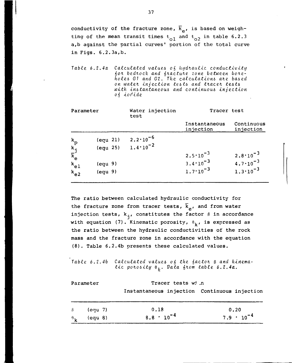conductivity of the fracture zone,  $\overline{k}_{\rho}$ , is based on weighting of the mean transit times  $t_{01}$  and  $t_{02}$  in table 6.2.3 a,b against the partial curves' portion of the total curve in Figs. 6.2.3a,b.

Table 6.2.4a Calculated values of hydraulic conductivity for bedrock and fracture zone between bore*holes G1 and G2. The calculations are based on waten. injection tests and tuaceh. tests with instantaneous and continuous injection o fa iodide*

| Parameter                                                        |                                                                                                                    | Water injection<br>test                    | Tracer test                                                       |                                                                   |
|------------------------------------------------------------------|--------------------------------------------------------------------------------------------------------------------|--------------------------------------------|-------------------------------------------------------------------|-------------------------------------------------------------------|
|                                                                  |                                                                                                                    |                                            | Instantaneous<br>injection                                        | Continuous<br>injection                                           |
| $k$ <sub>p</sub><br>$k$ j<br>$\bar{k}$ e<br>$k_{el}$<br>$k_{el}$ | $\left(\frac{equ}{21}\right)$<br>$\left(\frac{equ}{25}\right)$<br>$\text{(equ 9)}$<br>$\left(\text{equ } 9\right)$ | $2.2 \cdot 10^{-6}$<br>$1.4 \cdot 10^{-2}$ | $2.5 \cdot 10^{-3}$<br>$3.4 \cdot 10^{-3}$<br>$1.7 \cdot 10^{-3}$ | $2.8 \cdot 10^{-3}$<br>$4.7 \cdot 10^{-3}$<br>$1.3 \cdot 10^{-3}$ |

the fracture zone from tracer tests,  $\bar{k}_{\alpha}$ , and from water injection tests,  $k_1$ , constitutes the factor  $\beta$  in accordance The ratio between calculated hydraulic conductivity for with equation (7). Kinematic porosity,  $\theta_k$ , is expressed as the ratio between the hydraulic conductivities of the rock mass and the fracture zone in accordance with the equation (8). Table 6.2.4b presents these calculated values.

Table 6.2.4b Calculated values  $o_6$  the factor  $\beta$  and kinematic porosity  $\theta_h$ . Data from table 6.2.4a.

| Parameter                                 |                               | Tracer tests with                            |  |  |                             |
|-------------------------------------------|-------------------------------|----------------------------------------------|--|--|-----------------------------|
|                                           |                               | Instantaneous injection Continuous injection |  |  |                             |
| $\beta$<br>$\mathbf{\theta}_{\mathbf{k}}$ | ี (equ 7)<br>$\text{(equ 8)}$ | 0.18<br>$8.8 \cdot 10^{-4}$                  |  |  | 0.20<br>$7.9 \cdot 10^{-4}$ |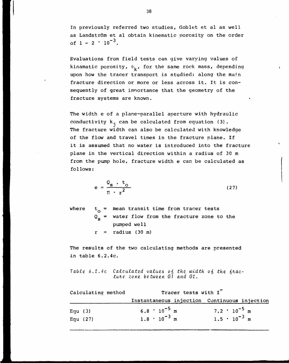In previously referred two studies, Goblet et al as well as Landström et al obtain kinematic porosity on the order of  $1 - 2 \cdot 10^{-3}$ .

Evaluations from field tests can give varying values of kinamatic porosity,  $\theta_{\nu}$ , for the same rock mass, depending upon how the tracer transport is studied: along the main fracture direction or more or less across it. It is consequently of great imnortance that the geometry of the fracture systems are known.

The width e of a plane-parallel aperture with hydraulic conductivity  $k_i$  can be calculated from equation (3). The fracture width can also be calculated with knowledge of the flow and travel times in the fracture plane. If it is assumed that no water is introduced into the fracture plane in the vertical direction within a radius of 30 m from the pump hole, fracture width e can be calculated as follows:

$$
e = \frac{Q_{\rm s} \cdot t_{\rm o}}{\pi \cdot r^2} \tag{27}
$$

where  $t_{0}$  = mean transit time from tracer tests  $\texttt{Q}_{_{\mathbf{S}}}$  = water flow from the fracture zone to the pumped well  $r =$  radius (30 m)

The results of the two calculating methods are presented •in table 6.2.4c.

Table 6.2.4c Calculated values of the width of the fractune zone between G1 and Gl.

| Calculating method | Tracer tests with I   |                                              |  |
|--------------------|-----------------------|----------------------------------------------|--|
|                    |                       | Instantaneous injection Continuous injection |  |
| Equ $(3)$          | $6.8 \cdot 10^{-5}$ m | $7.2 \cdot 10^{-5}$ m                        |  |
| Equ $(27)$         | $1.8 \cdot 10^{-3}$ m | $1.5 \cdot 10^{-3}$ m                        |  |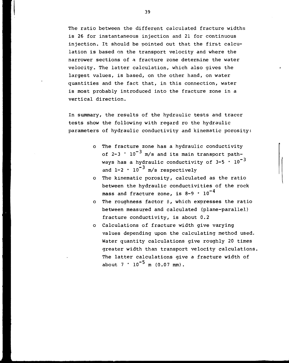The ratio between the different calculated fracture widths is 26 for instantaneous injection and 21 for continuous injection. It should be pointed out that the first calculation is based on the transport velocity and where the narrower sections of a fracture zone determine the water velocity. The latter calculation, which also gives the largest values, is based, on the other hand, on water quantities and the fact that, in this connection, water is most probably introduced into the fracture zone in a vertical direction.

In summary, the results of the hydraulic tests and tracer tests show the following with regard ro the hydraulic parameters of hydraulic conductivity and kinematic porosity:

- o The fracture zone has a hydraulic conductivity of  $2-3$   $\cdot$   $10^{-3}$  m/s and its main transport pathways has a hydraulic conductivity of  $3-5 \cdot 10^{-3}$ and  $1-2 \cdot 10^{-3}$  m/s respectively
- o The kinematic porosity, calculated as the ratio between the hydraulic conductivities of the rock mass and fracture zone, is 8-9  $\cdot$  10 $^{-4}$
- o The roughness factor  $\beta$ , which expresses the ratio between measured and calculated (plane-parallel) fracture conductivity, is about 0.2
- o Calculations of fracture width give varying values depending upon the calculating method used. Water quantity calculations give roughly 20 times greater width than transport velocity calculations, The latter calculations give a fracture width of about  $7 \cdot 10^{-5}$  m (0.07 mm).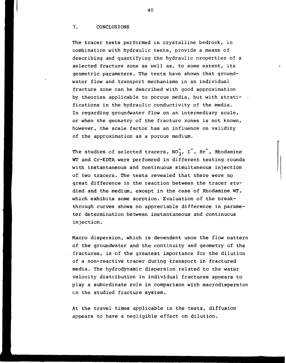### 7. CONCLUSIONS

The tracer tests performed in crystalline bedrock, in combination with hydraulic tests, provide a means of describing and quantifying the hydraulic properties of a selected fracture zone as well as, to some extent, its geometric parameters. The tests have shown that groundwater flow and transport mechanisms in an individual fracture zone can be described with good approximation by theories applicable to porous media, but with stratifications in the hydraulic conductivity of the media. In regarding groundwater flow on an intermediary scale, or when the geometry of the fracture zones is not known, however, the scale factor has an influence on validity of the approximation as a porous medium.

The studies of selected tracers,  $NO_3$ , I<sup>-</sup>, Br<sup>-</sup>, Rhodamine WT and Cr-EDTA were perfomred in different testing rounds with instantaneous and continuous simultaneous injection of two tracers. The tests revealed that there were no great difference in the reaction between the tracer studied and the medium, except in the case of Rhodamine WT, which exhibits some sorption. Evaluation of the breakthrough curves shows no appreciable difference in parameter determination between instantaneous and continuous injection.

Macro dispersion, which is deoendent upon the flow pattern of the groundwater and the continuity and geometry of the fractures, is of the greatest importance for the dilution of a non-reactive tracer during transport in fractured media. The hydrodynamic dispersion related to the water velocity distribution in individual fractures appears to play a subordinate role in comparison with macrodispersion en the studied fracture system.

At the travel times applicable in the tests, diffusion appears to have a negligible effect on dilution.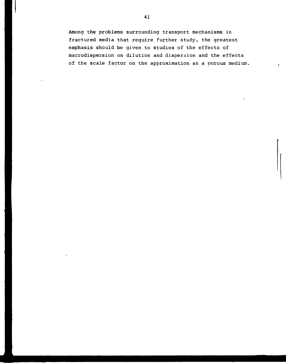Among the problems surrounding transport mechanisms in fractured media that require further study, the greatest emphasis should be given to studies of the effects of macrodispersion on dilution and dispersion and the effects of the scale factor on the approximation as a porous medium.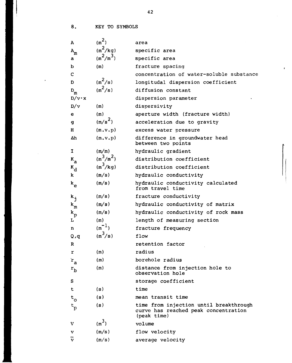8. KEY TO SYMBOLS

 $\left| \right|$ 

 $\bullet$ 

 $\bar{z}$ 

| $\mathbf{A}$                | $(m^2)$     | area                                                                                          |
|-----------------------------|-------------|-----------------------------------------------------------------------------------------------|
| $\mathtt{A}_{\mathtt{m}}$   | $(m^2/kg)$  | specific area                                                                                 |
| a                           | $(m^2/m^3)$ | specific area                                                                                 |
| b                           | (m)         | fracture spacing                                                                              |
| $\mathbf C$                 |             | concentration of water-soluble substance                                                      |
| D                           | $(m^2/s)$   | longitudal dispersion coefficient                                                             |
| D                           | $(m^2/s)$   | diffusion constant                                                                            |
| m<br>$D/v \cdot x$          |             | dispersion parameter                                                                          |
| D/v                         | (m)         | dispersivity                                                                                  |
| e                           | (m)         | aperture width (fracture width)                                                               |
| $\mathbf{g}$                | $(m/s^2)$   | acceleration due to gravity                                                                   |
| H                           | (m.v.p)     | excess water pressure                                                                         |
| Δh                          | (m.v.p)     | difference in groundwater head                                                                |
|                             |             | between two points                                                                            |
| $\mathbf I$                 | (m/m)       | hydraulic gradient                                                                            |
| $K_{a}$                     | $(m^3/m^2)$ | distribution coefficient                                                                      |
| $K_d$                       | $(m^3/kg)$  | distribution coefficient                                                                      |
| k                           | (m/s)       | hydraulic conductivity                                                                        |
| $k_{\rm e}$                 | (m/s)       | hydraulic conductivity calculated<br>from travel time                                         |
| $k_j$                       | (m/s)       | fracture conductivity                                                                         |
| $\mathbf{k}_{\mathfrak{m}}$ | (m/s)       | hydraulic conductivity of matrix                                                              |
| $\mathbf{k}_\mathrm{p}$     | (m/s)       | hydraulic conductivity of rock mass                                                           |
| L                           | (m)         | length of measuring section                                                                   |
| n                           | $(m^{-1})$  | fracture frequency                                                                            |
| Q, q                        | $(m^3/s)$   | flow                                                                                          |
| R                           |             | retention factor                                                                              |
| r                           | (m)         | radius                                                                                        |
| $r_a$                       | (m)         | borehole radius                                                                               |
| $r_{\rm b}$                 | (m)         | distance from injection hole to<br>observation hole                                           |
| S                           |             | storage coefficient                                                                           |
| t                           | (s)         | time                                                                                          |
| $t_{\rm o}$                 | (s)         | mean transit time                                                                             |
| $t_{\rm p}$                 | (s)         | time from injection until breakthrough<br>curve has reached peak concentration<br>(peak time) |
| v                           | $(m^3)$     | volume                                                                                        |
| v                           | (m/s)       | flow velocity                                                                                 |
| v                           | (m/s)       | average velocity                                                                              |

 $\mathbf{r}$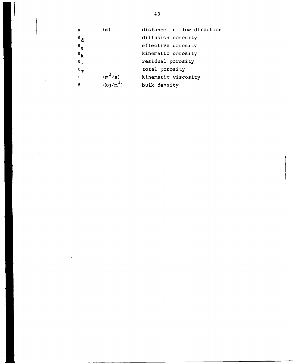| x                         | (m)        | distance in flow direction |
|---------------------------|------------|----------------------------|
| $^{\theta}$ d             |            | diffusion porosity         |
| $\mathbf{e}$              |            | effective porosity         |
| $\mathbf{e}_{\mathbf{k}}$ |            | kinematic porosity         |
| $\mathbf{e}_{\mathbf{r}}$ |            | residual porosity          |
| $\mathbf{e}^{\theta}$     |            | total porosity             |
| $\mathbf{v}$              | $(m^2/s)$  | kinematic viscosity        |
| δ                         | $(kq/m^3)$ | bulk density               |

 $\ddot{\phantom{0}}$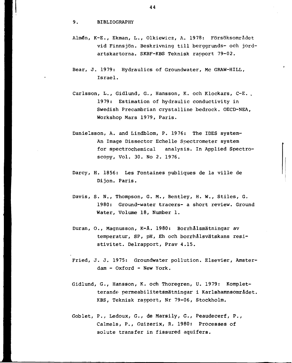### 9. BIBLIOGRAPHY

- Almén, K-E., Ekman, L., Olkiewicz, A. 1978: Försöksområdet vid Finnsjön. Beskrivning till berggrunds- och jordartskartorna. SKBF-KBS Teknisk rapport 79-02.
- Bear, J. 1979: Hydraulics of Groundwater, Mc GRAW-HILL, Israel.
- Carlsson, L., Gidlund, G., Hansson, K. och Klockars, C-E. , 1979: Estimation of hydraulic conductivity in Swedish Precambrian crystalline bedrock. OECD-NEA, Workshop Mars 1979, Paris.
- Danielsson, A. and Lindblom, P. 1976: The IDES system-An Image Dissector Echelle Spectrometer system for spectrochemical analysis. In Applied Spectroscopy, Vol. 30. No 2. 1976.
- Darcy, H. 1856: Les Fontaines publiques de la ville de Dijon. Paris.
- Davis, S. N., Thompson, G. M., Bentley, H. W., Stiles, G. 1980: Ground-water tracers- a short review. Ground Water, Volume 18, Number 1.
- Duran, O., Magnusson, K-Å. 1980: Borrhålsmätningar av temperatur, SP, pH, Eh och borrhålsvätskans resistivitet. Delrapport, Prav 4.15.
- Fried, J. J. 1975: Groundwater pollution. Elsevier, Amsterdam - Oxford - New York.
- Gidlund, G., Hansson, K. och Thoregren, U. 1979: Kompletterande permeabilitetsmätningar i Karlshamnsområdet, KBS, Teknisk rapport, Nr 79-06, Stockholm.
- Goblet, P., Ledoux, G., de Marsily, G., Peaudecerf, P., Calmels, P., Guizerix, R. 1980: Processes of solute transfer in fissured aquifers.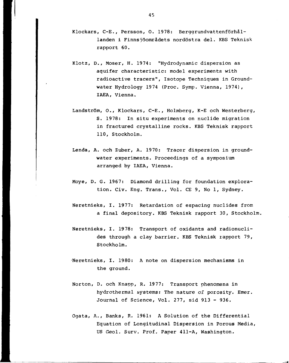- Klockars, C-E., Persson, O. 1978: Berggrundvattenförhållanden i Finnsjöområdets nordöstra del. KBS Teknisk rapport 60.
- Klotz, D., Moser, H. 1974: "Hydrodynamic dispersion as aquifer characteristic: model experiments with radioactive tracers", Isotope Techniques in Groundwater Hydrology 1974 (Proc. Symp. Vienna, 1974), IAEA, Vienna.
- Landström, 0., Klockars, C-E., Holmberg, K-E och Westerberg, S. 1978: In situ experiments on nuclide migration in fractured crystalline rocks. KBS Teknisk rapport 110, Stockholm.
- Lenda, A. och Zuber, A. 1970: Tracer dispersion in groundwater experiments. Proceedings of a symposium arranged by IAEA, Vienna.
- Moye, D. G. 1967: Diamond drilling for foundation exploration. Civ. Eng. Trans., Vol. CE 9, No 1, Sydney.
- Neretnieks, I. 1977: Retardation of espacing nuclides from a final depository. KBS Teknisk rapport 30, Stockholm.
- Neretnieks, I. 1978: Transport of oxidants and radionuclides through a clay barrier. KBS Teknisk rapport 79, Stockholm.
- •Neretnieks, I. 1980: A note on dispersion mechanisms in the ground.
- Norton, D. och Knapp, R. 1977: Transport phenomena in hydrothermal systems: The nature of porosity. Emer. Journal of Science, Vol. 277, sid 913 - 936.
- Ogata, A., Banks, R. 1961: A Solution of the Differential Equation of Longitudinal Dispersion in Porous Media, US Geol. Surv. Prof. Paper 411-A, Washington.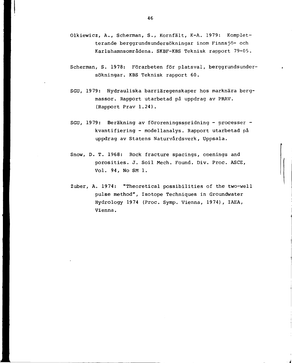- Olkiewicz, A., Scherman, S., Kornfält, K-A. 1979: Kompletterande berggrundsundersökningar inom Finnsjö- och Karlshamnsområdena. SKBF-KBS Teknisk rapport 79-05.
- Scherman, S. 19 78: Förarbeten för platsval, berggrundsundersökningar. KBS Teknisk rapport 60.
- SGU, 19 79: Hydrauliska barriäregenskaper hos marknära bergmassor. Rapport utarbetad på uppdrag av PRAV. (Rapport Prav 1.24).
- SGU, 19 79: Beräkning av föroreningsspridning processer kvantifiering - modellanalys. Rapport utarbetad på uppdrag av Statens Naturvårdsverk, Uppsala.
- Snow, D. T. 1968: Rock fracture spacings, openings and porosities. J. Soil Mech. Found. Div. Proc. ASCE, Vol. 94, No SM 1.
- Zuber, A. 1974: "Theoretical possibilities of the two-well pulse method", Isotope Techniques in Groundwater Hydrology 1974 (Proc. Symp. Vienna, 1974), IAEA, Vienna.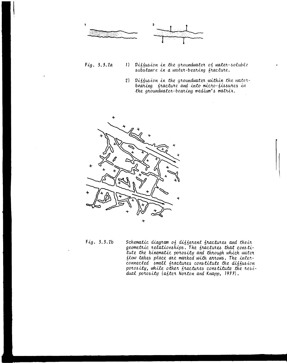

- Fig. 3.3.2a 1) Diffusion in the groundwater of water-soluble substance in a water-bearing fracture.
	- 2) Diffusion in the groundwater within the waterbearing fracture and into micro-fissures in the groundwater-bearing medium's matrix.



 $Fig. 3.3.2b$ Schematic diagram of different fractures and their geometric relationships. The fractures that constitute the kinematic porosity and through which water flow takes place are marked with arrows. The interconnected small fractures constitute the diffusion porosity, while other fractures constitute the residual porosity (after Norton and Knapp, 1977).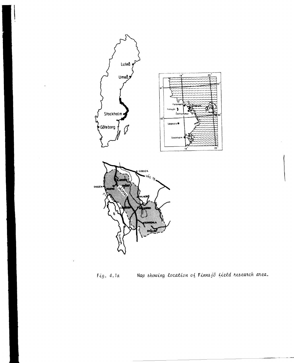

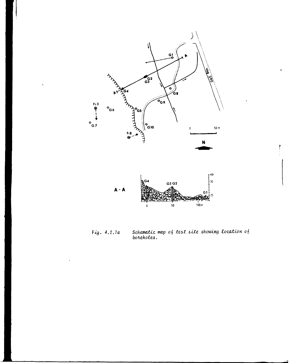

Schematic map of test site showing location of<br>boreholes. Fig. 4.2.1a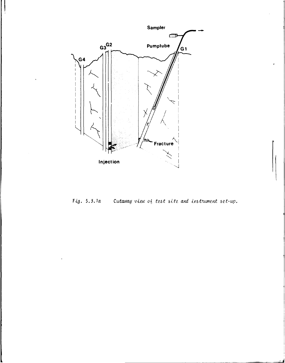

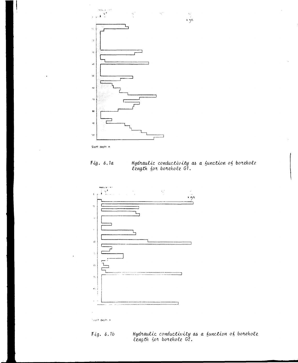

Slant depth *m*

*Fig. 6.1a Hydxautic conductivity cu> a function length &OH. boizkole.* GJ.

 $\frac{15}{10}$ 



faunt depth in

*iq. 6.1b Hydraulic conductivity on, a function ofi borehole, length f)O^i boKokolz G2.*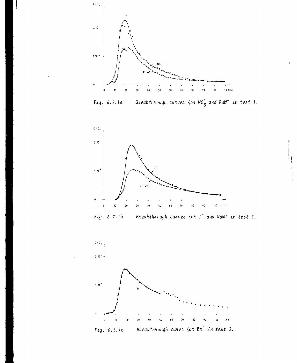

Breakthrough curves  $60\pi N0^2$  and RdWT in test 1. Fig. 6.2.1a



Fig. 6.2.1b Breakthrough curves for I<sup>-</sup> and RdW! in test 2.



Breakthrough curve for Br<sup>-</sup> in test 3. Fig. 6.2.1c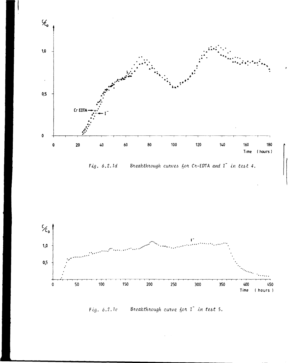

Fig. 6.2.1d Breakthrough curves for Cr-EDTA and I in test 4.



Breakthrough curve for I<sup>-</sup> in test 5.  $Fig. 6.2.1e$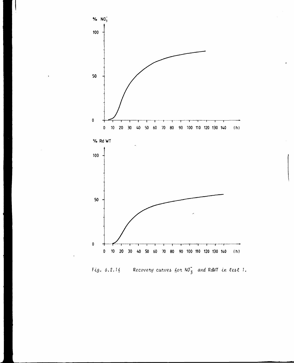

Fig. 6.2.16 Recovery curves for  $NO_3^-$  and RdWT in test 1.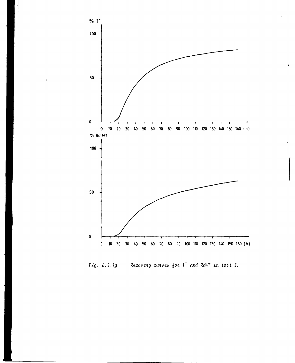

Fig. 6.2.1g Recovery curves for I<sup>-</sup> and RdWT in test 2.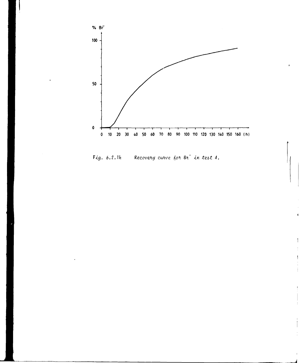

Recovery curve for Br<sup>-</sup> in test 4. Fig.  $6.2.1h$ 

 $\begin{array}{c} \hline \end{array}$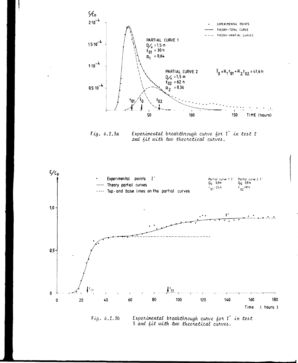

Experimental breakthrough curve for I in test 2  $Fig. 6.2.3a$ and fit with two theoretical curves.



Experimental breakthrough curve for I in test Fig. 6.2.3b 5 and fit with two theoretical curves.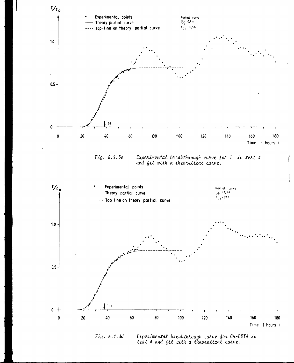

 $Fig. 6.2.3d$ Experimental breakthrough curve for Cr-EDTA in test 4 and fit with a theoretical curve.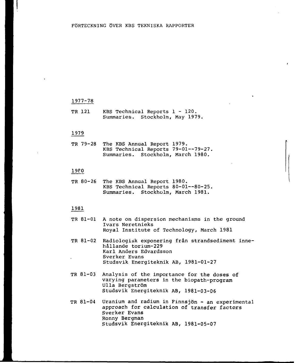### 1977-78

TR 121 KBS Technical Reports 1 - 120. Summaries. Stockholm, May 1979,

### 1979

TR 79-28 The KBS Annual Report 1979. KBS Technical Reports 79-01—79-27, Summaries. Stockholm, March 1980.

### 19P0

TR 80-26 The KBS Annual Report 1980. KBS Technical Reports 80-01—80-25. Summaries. Stockholm, March 1981.

- TR 81-01 A note on dispersion mechanisms in the ground Ivars Neretnieks Royal Institute of Technology, March 1981
- TR 81-02 Radiologisk exponering från strandsediment innehållande torium-229 Karl Anders Edvardsson Sverker Evans Studsvik Energiteknik AB, 1981-01-27
- TR 81-03 Analysis of the importance for the doses of varying parameters in the biopath-program Ulla Bergström Studsvik Energiteknik AB, 1981-03-06
- TR 81-04 Uranium and radium in Finnsjön - an experimental approach for calculation of transfer factors Sverker Evans Ronny Bergman Studsvik Energiteknik AB, 1981-05-07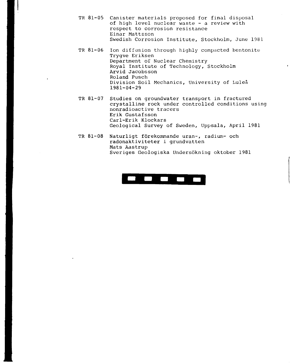- TR 81-05 Canister materials proposed for final disposal of high level nuclear waste - a review with respect to corrosion resistance Einar Mattsson Swedish Corrosion Institute, Stockholm, June 1981
- TR 81-06 Ion diffusion through highly compacted bentonite Trygve Eriksen Department of Nuclear Chemistry Royal Institute of Technology, Stockholm Arvid Jacobsson Roland Pusch Division Soil Mechanics, University of Luleå 1981-04-29

 $\mathbf{r}$ 

- TR 81-07 Studies on groundwater transport in fractured crystalline rock under controlled conditions using nonradioactive tracers Erik Gustafsson Carl-Erik Klockars Geological Survey of Sweden, Uppsala, April 1981
- TR 81-08 Naturligt förekommande uran-, radium- och radonaktiviteter i grundvatten Mats Aastrup Sveriges Geologiska Undersökning oktober 1981